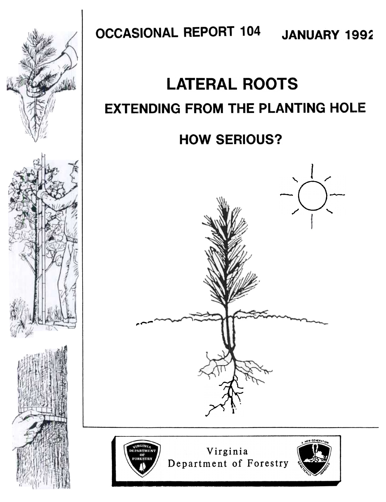

**OCCASIONAL REPORT 104 JANUARY 1992** 

# **LATERAL ROOTS EXTENDING FROM THE PLANTING HOLE**

# **HOW SERIOUS?**





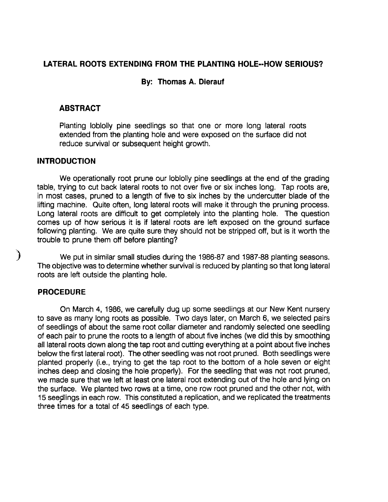### LATERAL ROOTS EXTENDING FROM THE PLANTING HOLE--HOW SERIOUS?

### By: Thomas A. Dierauf

#### ABSTRACT

Planting loblolly pine seedlings so that one or more long lateral roots extended from the planting hole and were exposed on the surface did not reduce survival or subsequent height growth.

#### INTRODUCTION

We operationally root prune our loblolly pine seedlings at the end of the grading table, trying to cut back lateral roots to not over five or six inches long. Tap roots are, in most cases, pruned to a length of five to six inches by the undercutter blade of the lifting machine. Quite often, long lateral roots will make it through the pruning process. Long lateral roots are difficult to get completely into the planting hole. The question comes up of how serious it is if lateral roots are left exposed on the ground surface following planting. We are quite sure they should not be stripped off, but is it worth the trouble to prune them off before planting?

) We put in similar small studies during the 1986-87 and 1987 -88 planting seasons. The objective was to determine whether survival is reduced by planting so that long lateral roots are left outside the planting hole.

## PROCEDURE

On March 4, 1986, we carefully dug up some seedlings at our New Kent nursery to save as many long roots as possible. Two days later, on March 6, we selected pairs of seedlings of about the same root collar diameter and randomly selected one seedling of each pair to prune the roots to a length of about five inches (we did this by smoothing all lateral roots down along the tap root and cutting everything at a point about five inches below the first lateral root). The other seedling was not root pruned. Both seedlings were planted properly (i.e., trying to get the tap root to the bottom of a hole seven or eight inches deep and closing the hole properly). For the seedling that was not root pruned, we made sure that we left at least one lateral root extending out of the hole and lying on the surface. We planted two rows at a time, one row root pruned and the other not, with 15 seedlings in each row. This constituted a replication, and we replicated the treatments three times for a total of 45 seedlings of each type.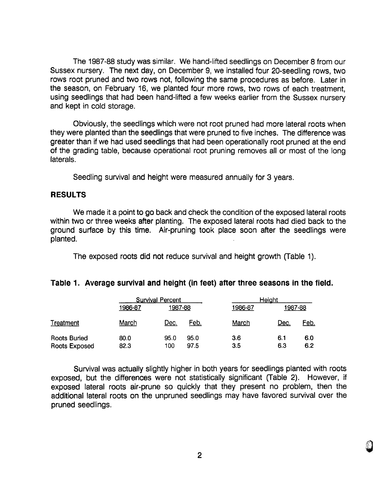The 1987 -88 study was similar. We hand-Iifted seedlings on December 8 from our Sussex nursery. The next day, on December 9, we installed four 20-seedling rows, two rows root pruned and two rows not, following the same procedures as before. Later in the season, on February 16, we planted four more rows, two rows of each treatment, using seedlings that had been hand-Iifted a few weeks earlier from the Sussex nursery and kept in cold storage.

Obviously, the seedlings which were not root pruned had more lateral roots when they were planted than the seedlings that were pruned to five inches. The difference was greater than if we had used seedlings that had been operationally root pruned at the end of the grading table, because operational root pruning removes all or most of the long laterals.

Seedling survival and height were measured annually for 3 years.

#### RESULTS

We made it a point to go back and check the condition of the exposed lateral roots within two or three weeks after planting. The exposed lateral roots had died back to the ground surface by this time. Air-pruning took place soon after the seedlings were planted.

The exposed roots did not reduce survival and height growth (Table 1).

#### Table 1. Average survival and height (in feet) after three seasons in the field.

|                                      | <b>Survival Percent</b> |             |              | Height     |            |            |
|--------------------------------------|-------------------------|-------------|--------------|------------|------------|------------|
|                                      | 1986-87                 | 1987-88     |              | 1986-87    | 1987-88    |            |
| Treatment                            | March                   | <u>Dec.</u> | Feb.         | March      | Dec.       | Feb.       |
| <b>Roots Buried</b><br>Roots Exposed | 80.0<br>82.3            | 95.0<br>100 | 95.0<br>97.5 | 3.6<br>3.5 | 6.1<br>6.3 | 6.0<br>6.2 |

Survival was actually slightly higher in both years for seedlings planted with roots exposed, but the differences were not statistically significant (Table 2). However, if exposed lateral roots air-prune so quickly that they present no problem, then the additional lateral roots on the unpruned seedlings may have favored survival over the pruned seedlings.

**U**